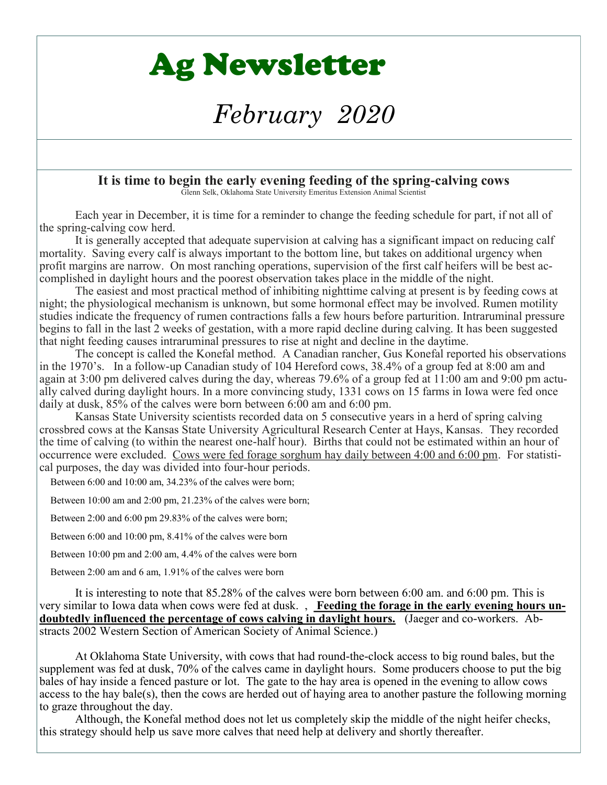# Ag Newsletter

# *February 2020*

#### **It is time to begin the early evening feeding of the spring-calving cows** Glenn Selk, Oklahoma State University Emeritus Extension Animal Scientist

Each year in December, it is time for a reminder to change the feeding schedule for part, if not all of the spring-calving cow herd.

It is generally accepted that adequate supervision at calving has a significant impact on reducing calf mortality. Saving every calf is always important to the bottom line, but takes on additional urgency when profit margins are narrow. On most ranching operations, supervision of the first calf heifers will be best accomplished in daylight hours and the poorest observation takes place in the middle of the night.

The easiest and most practical method of inhibiting nighttime calving at present is by feeding cows at night; the physiological mechanism is unknown, but some hormonal effect may be involved. Rumen motility studies indicate the frequency of rumen contractions falls a few hours before parturition. Intraruminal pressure begins to fall in the last 2 weeks of gestation, with a more rapid decline during calving. It has been suggested that night feeding causes intraruminal pressures to rise at night and decline in the daytime.

The concept is called the Konefal method. A Canadian rancher, Gus Konefal reported his observations in the 1970's. In a follow-up Canadian study of 104 Hereford cows, 38.4% of a group fed at 8:00 am and again at 3:00 pm delivered calves during the day, whereas 79.6% of a group fed at 11:00 am and 9:00 pm actually calved during daylight hours. In a more convincing study, 1331 cows on 15 farms in Iowa were fed once daily at dusk, 85% of the calves were born between 6:00 am and 6:00 pm.

Kansas State University scientists recorded data on 5 consecutive years in a herd of spring calving crossbred cows at the Kansas State University Agricultural Research Center at Hays, Kansas. They recorded the time of calving (to within the nearest one-half hour). Births that could not be estimated within an hour of occurrence were excluded. Cows were fed forage sorghum hay daily between 4:00 and 6:00 pm. For statistical purposes, the day was divided into four-hour periods.

Between 6:00 and 10:00 am, 34.23% of the calves were born;

Between 10:00 am and 2:00 pm, 21.23% of the calves were born;

Between 2:00 and 6:00 pm 29.83% of the calves were born;

Between 6:00 and 10:00 pm, 8.41% of the calves were born

Between 10:00 pm and 2:00 am, 4.4% of the calves were born

Between 2:00 am and 6 am, 1.91% of the calves were born

It is interesting to note that 85.28% of the calves were born between 6:00 am. and 6:00 pm. This is very similar to Iowa data when cows were fed at dusk. , **Feeding the forage in the early evening hours undoubtedly influenced the percentage of cows calving in daylight hours.** (Jaeger and co-workers. Abstracts 2002 Western Section of American Society of Animal Science.)

At Oklahoma State University, with cows that had round-the-clock access to big round bales, but the supplement was fed at dusk, 70% of the calves came in daylight hours. Some producers choose to put the big bales of hay inside a fenced pasture or lot. The gate to the hay area is opened in the evening to allow cows access to the hay bale(s), then the cows are herded out of haying area to another pasture the following morning to graze throughout the day.

Although, the Konefal method does not let us completely skip the middle of the night heifer checks, this strategy should help us save more calves that need help at delivery and shortly thereafter.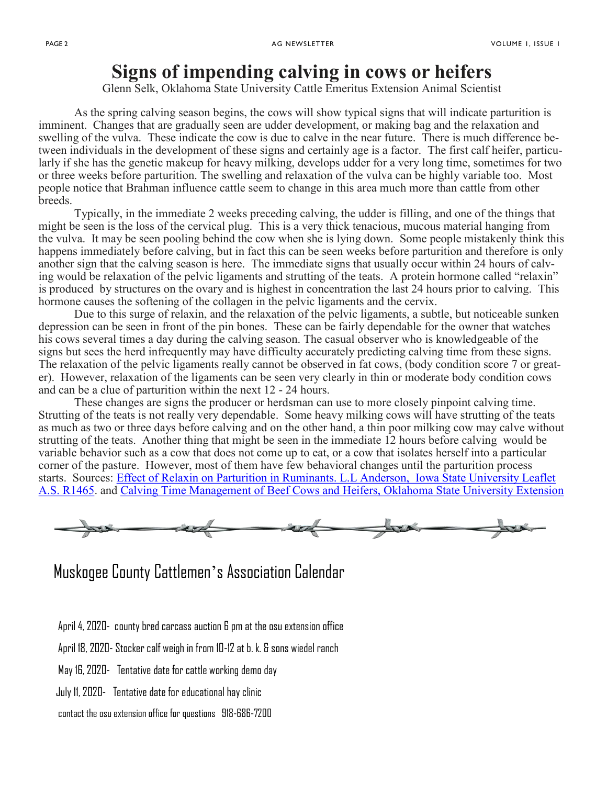## **Signs of impending calving in cows or heifers**

Glenn Selk, Oklahoma State University Cattle Emeritus Extension Animal Scientist

As the spring calving season begins, the cows will show typical signs that will indicate parturition is imminent. Changes that are gradually seen are udder development, or making bag and the relaxation and swelling of the vulva. These indicate the cow is due to calve in the near future. There is much difference between individuals in the development of these signs and certainly age is a factor. The first calf heifer, particularly if she has the genetic makeup for heavy milking, develops udder for a very long time, sometimes for two or three weeks before parturition. The swelling and relaxation of the vulva can be highly variable too. Most people notice that Brahman influence cattle seem to change in this area much more than cattle from other breeds.

Typically, in the immediate 2 weeks preceding calving, the udder is filling, and one of the things that might be seen is the loss of the cervical plug. This is a very thick tenacious, mucous material hanging from the vulva. It may be seen pooling behind the cow when she is lying down. Some people mistakenly think this happens immediately before calving, but in fact this can be seen weeks before parturition and therefore is only another sign that the calving season is here. The immediate signs that usually occur within 24 hours of calving would be relaxation of the pelvic ligaments and strutting of the teats. A protein hormone called "relaxin" is produced by structures on the ovary and is highest in concentration the last 24 hours prior to calving. This hormone causes the softening of the collagen in the pelvic ligaments and the cervix.

Due to this surge of relaxin, and the relaxation of the pelvic ligaments, a subtle, but noticeable sunken depression can be seen in front of the pin bones. These can be fairly dependable for the owner that watches his cows several times a day during the calving season. The casual observer who is knowledgeable of the signs but sees the herd infrequently may have difficulty accurately predicting calving time from these signs. The relaxation of the pelvic ligaments really cannot be observed in fat cows, (body condition score 7 or greater). However, relaxation of the ligaments can be seen very clearly in thin or moderate body condition cows and can be a clue of parturition within the next 12 - 24 hours.

These changes are signs the producer or herdsman can use to more closely pinpoint calving time. Strutting of the teats is not really very dependable. Some heavy milking cows will have strutting of the teats as much as two or three days before calving and on the other hand, a thin poor milking cow may calve without strutting of the teats. Another thing that might be seen in the immediate 12 hours before calving would be variable behavior such as a cow that does not come up to eat, or a cow that isolates herself into a particular corner of the pasture. However, most of them have few behavioral changes until the parturition process starts. Sources: [Effect of Relaxin on Parturition in Ruminants. L.L Anderson,](https://nam04.safelinks.protection.outlook.com/?url=http%3A%2F%2Fwww.extension.iastate.edu%2FPages%2Fansci%2Fbeefreports%2Fasl-1465.pdf&data=02%7C01%7Ctodd.trennepohl%40okstate.edu%7C3202fff3262c42598b7308d79db598de%7C2a69c91de8494e34a230cdf8b27e1964%7C0%7C1%) Iowa State University Leaflet [A.S. R1465.](https://nam04.safelinks.protection.outlook.com/?url=http%3A%2F%2Fwww.extension.iastate.edu%2FPages%2Fansci%2Fbeefreports%2Fasl-1465.pdf&data=02%7C01%7Ctodd.trennepohl%40okstate.edu%7C3202fff3262c42598b7308d79db598de%7C2a69c91de8494e34a230cdf8b27e1964%7C0%7C1%) and [Calving Time Management of Beef Cows and Heifers, Oklahoma State University Extension](https://nam04.safelinks.protection.outlook.com/?url=http%3A%2F%2Fpods.dasnr.okstate.edu%2Fdocushare%2Fdsweb%2FGet%2FDocument-9389%2FE-1006web2014.pdf&data=02%7C01%7Ctodd.trennepohl%40okstate.edu%7C3202fff3262c42598b7308d79db598de%7C2a69c91de8494e34a230cdf8b27) 



### Muskogee County Cattlemen's Association Calendar

- April 4, 2020- county bred carcass auction 6 pm at the osu extension office
- April 18, 2020- Stocker calf weigh in from 10-12 at b. k. & sons wiedel ranch
- May 16, 2020- Tentative date for cattle working demo day
- July 11, 2020- Tentative date for educational hay clinic

contact the osu extension office for questions 918-686-7200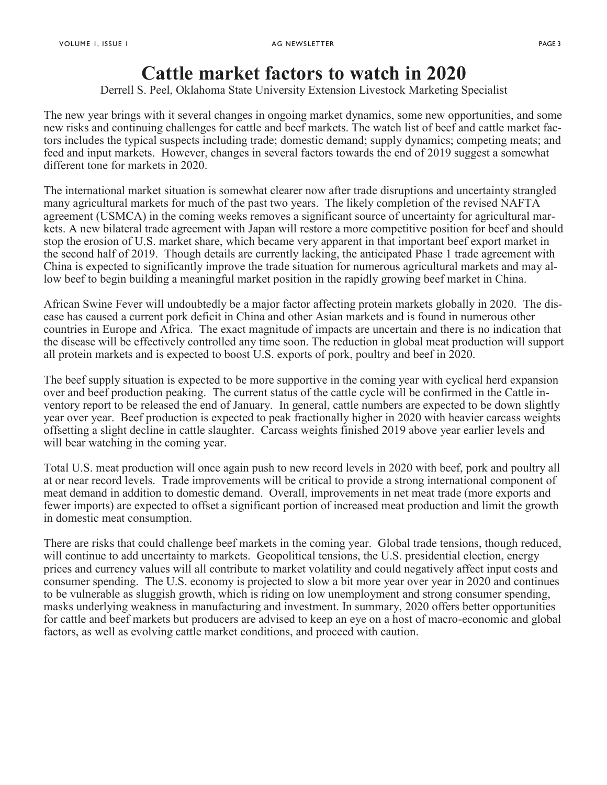# **Cattle market factors to watch in 2020**

Derrell S. Peel, Oklahoma State University Extension Livestock Marketing Specialist

The new year brings with it several changes in ongoing market dynamics, some new opportunities, and some new risks and continuing challenges for cattle and beef markets. The watch list of beef and cattle market factors includes the typical suspects including trade; domestic demand; supply dynamics; competing meats; and feed and input markets. However, changes in several factors towards the end of 2019 suggest a somewhat different tone for markets in 2020.

The international market situation is somewhat clearer now after trade disruptions and uncertainty strangled many agricultural markets for much of the past two years. The likely completion of the revised NAFTA agreement (USMCA) in the coming weeks removes a significant source of uncertainty for agricultural markets. A new bilateral trade agreement with Japan will restore a more competitive position for beef and should stop the erosion of U.S. market share, which became very apparent in that important beef export market in the second half of 2019. Though details are currently lacking, the anticipated Phase 1 trade agreement with China is expected to significantly improve the trade situation for numerous agricultural markets and may allow beef to begin building a meaningful market position in the rapidly growing beef market in China.

African Swine Fever will undoubtedly be a major factor affecting protein markets globally in 2020. The disease has caused a current pork deficit in China and other Asian markets and is found in numerous other countries in Europe and Africa. The exact magnitude of impacts are uncertain and there is no indication that the disease will be effectively controlled any time soon. The reduction in global meat production will support all protein markets and is expected to boost U.S. exports of pork, poultry and beef in 2020.

The beef supply situation is expected to be more supportive in the coming year with cyclical herd expansion over and beef production peaking. The current status of the cattle cycle will be confirmed in the Cattle inventory report to be released the end of January. In general, cattle numbers are expected to be down slightly year over year. Beef production is expected to peak fractionally higher in 2020 with heavier carcass weights offsetting a slight decline in cattle slaughter. Carcass weights finished 2019 above year earlier levels and will bear watching in the coming year.

Total U.S. meat production will once again push to new record levels in 2020 with beef, pork and poultry all at or near record levels. Trade improvements will be critical to provide a strong international component of meat demand in addition to domestic demand. Overall, improvements in net meat trade (more exports and fewer imports) are expected to offset a significant portion of increased meat production and limit the growth in domestic meat consumption.

There are risks that could challenge beef markets in the coming year. Global trade tensions, though reduced, will continue to add uncertainty to markets. Geopolitical tensions, the U.S. presidential election, energy prices and currency values will all contribute to market volatility and could negatively affect input costs and consumer spending. The U.S. economy is projected to slow a bit more year over year in 2020 and continues to be vulnerable as sluggish growth, which is riding on low unemployment and strong consumer spending, masks underlying weakness in manufacturing and investment. In summary, 2020 offers better opportunities for cattle and beef markets but producers are advised to keep an eye on a host of macro-economic and global factors, as well as evolving cattle market conditions, and proceed with caution.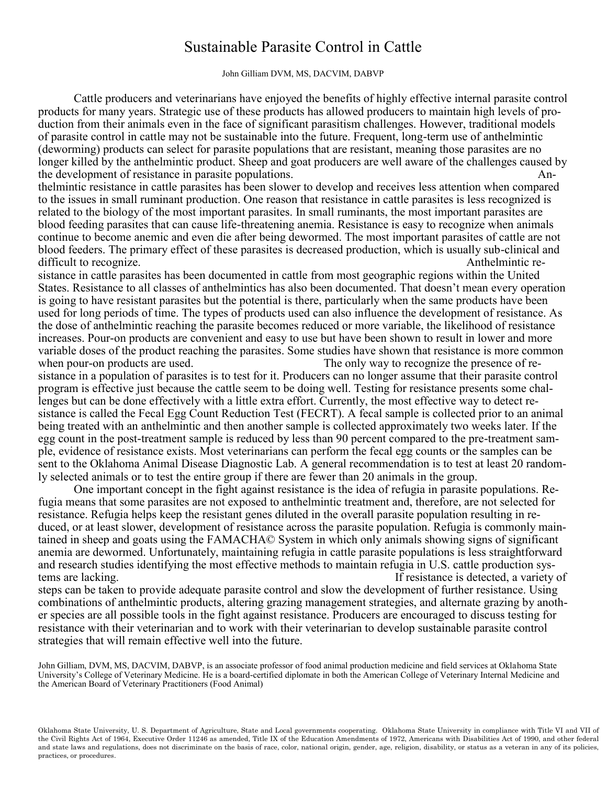### Sustainable Parasite Control in Cattle

#### John Gilliam DVM, MS, DACVIM, DABVP

Cattle producers and veterinarians have enjoyed the benefits of highly effective internal parasite control products for many years. Strategic use of these products has allowed producers to maintain high levels of production from their animals even in the face of significant parasitism challenges. However, traditional models of parasite control in cattle may not be sustainable into the future. Frequent, long-term use of anthelmintic (deworming) products can select for parasite populations that are resistant, meaning those parasites are no longer killed by the anthelmintic product. Sheep and goat producers are well aware of the challenges caused by the development of resistance in parasite populations. An-

thelmintic resistance in cattle parasites has been slower to develop and receives less attention when compared to the issues in small ruminant production. One reason that resistance in cattle parasites is less recognized is related to the biology of the most important parasites. In small ruminants, the most important parasites are blood feeding parasites that can cause life-threatening anemia. Resistance is easy to recognize when animals continue to become anemic and even die after being dewormed. The most important parasites of cattle are not blood feeders. The primary effect of these parasites is decreased production, which is usually sub-clinical and difficult to recognize.  $\blacksquare$ 

sistance in cattle parasites has been documented in cattle from most geographic regions within the United States. Resistance to all classes of anthelmintics has also been documented. That doesn't mean every operation is going to have resistant parasites but the potential is there, particularly when the same products have been used for long periods of time. The types of products used can also influence the development of resistance. As the dose of anthelmintic reaching the parasite becomes reduced or more variable, the likelihood of resistance increases. Pour-on products are convenient and easy to use but have been shown to result in lower and more variable doses of the product reaching the parasites. Some studies have shown that resistance is more common when pour-on products are used. The only way to recognize the presence of re-

sistance in a population of parasites is to test for it. Producers can no longer assume that their parasite control program is effective just because the cattle seem to be doing well. Testing for resistance presents some challenges but can be done effectively with a little extra effort. Currently, the most effective way to detect resistance is called the Fecal Egg Count Reduction Test (FECRT). A fecal sample is collected prior to an animal being treated with an anthelmintic and then another sample is collected approximately two weeks later. If the egg count in the post-treatment sample is reduced by less than 90 percent compared to the pre-treatment sample, evidence of resistance exists. Most veterinarians can perform the fecal egg counts or the samples can be sent to the Oklahoma Animal Disease Diagnostic Lab. A general recommendation is to test at least 20 randomly selected animals or to test the entire group if there are fewer than 20 animals in the group.

One important concept in the fight against resistance is the idea of refugia in parasite populations. Refugia means that some parasites are not exposed to anthelmintic treatment and, therefore, are not selected for resistance. Refugia helps keep the resistant genes diluted in the overall parasite population resulting in reduced, or at least slower, development of resistance across the parasite population. Refugia is commonly maintained in sheep and goats using the FAMACHA© System in which only animals showing signs of significant anemia are dewormed. Unfortunately, maintaining refugia in cattle parasite populations is less straightforward and research studies identifying the most effective methods to maintain refugia in U.S. cattle production systems are lacking. If resistance is detected, a variety of

steps can be taken to provide adequate parasite control and slow the development of further resistance. Using combinations of anthelmintic products, altering grazing management strategies, and alternate grazing by another species are all possible tools in the fight against resistance. Producers are encouraged to discuss testing for resistance with their veterinarian and to work with their veterinarian to develop sustainable parasite control strategies that will remain effective well into the future.

John Gilliam, DVM, MS, DACVIM, DABVP, is an associate professor of food animal production medicine and field services at Oklahoma State University's College of Veterinary Medicine. He is a board-certified diplomate in both the American College of Veterinary Internal Medicine and the American Board of Veterinary Practitioners (Food Animal)

Oklahoma State University, U. S. Department of Agriculture, State and Local governments cooperating. Oklahoma State University in compliance with Title VI and VII of the Civil Rights Act of 1964, Executive Order 11246 as amended, Title IX of the Education Amendments of 1972, Americans with Disabilities Act of 1990, and other federal and state laws and regulations, does not discriminate on the basis of race, color, national origin, gender, age, religion, disability, or status as a veteran in any of its policies, practices, or procedures.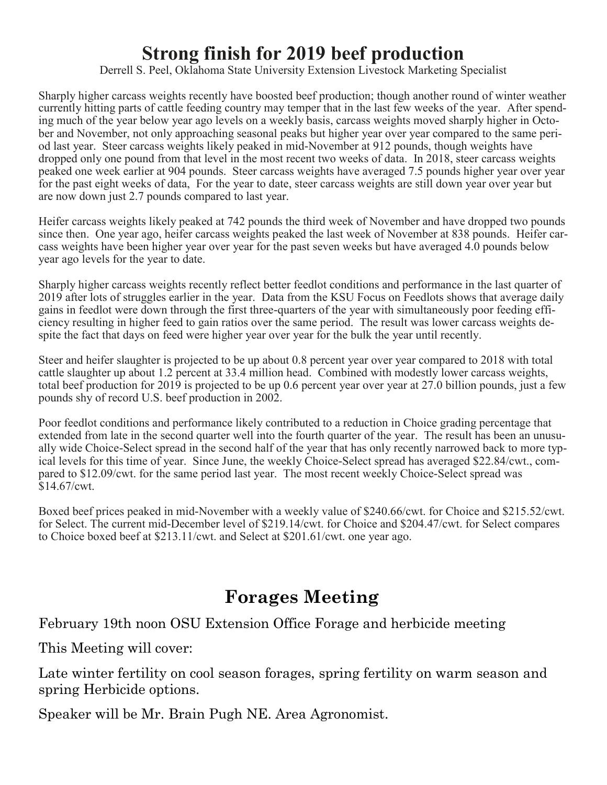# **Strong finish for 2019 beef production**

Derrell S. Peel, Oklahoma State University Extension Livestock Marketing Specialist

Sharply higher carcass weights recently have boosted beef production; though another round of winter weather currently hitting parts of cattle feeding country may temper that in the last few weeks of the year. After spending much of the year below year ago levels on a weekly basis, carcass weights moved sharply higher in October and November, not only approaching seasonal peaks but higher year over year compared to the same period last year. Steer carcass weights likely peaked in mid-November at 912 pounds, though weights have dropped only one pound from that level in the most recent two weeks of data. In 2018, steer carcass weights peaked one week earlier at 904 pounds. Steer carcass weights have averaged 7.5 pounds higher year over year for the past eight weeks of data, For the year to date, steer carcass weights are still down year over year but are now down just 2.7 pounds compared to last year.

Heifer carcass weights likely peaked at 742 pounds the third week of November and have dropped two pounds since then. One year ago, heifer carcass weights peaked the last week of November at 838 pounds. Heifer carcass weights have been higher year over year for the past seven weeks but have averaged 4.0 pounds below year ago levels for the year to date.

Sharply higher carcass weights recently reflect better feedlot conditions and performance in the last quarter of 2019 after lots of struggles earlier in the year. Data from the KSU Focus on Feedlots shows that average daily gains in feedlot were down through the first three-quarters of the year with simultaneously poor feeding efficiency resulting in higher feed to gain ratios over the same period. The result was lower carcass weights despite the fact that days on feed were higher year over year for the bulk the year until recently.

Steer and heifer slaughter is projected to be up about 0.8 percent year over year compared to 2018 with total cattle slaughter up about 1.2 percent at 33.4 million head. Combined with modestly lower carcass weights, total beef production for 2019 is projected to be up 0.6 percent year over year at 27.0 billion pounds, just a few pounds shy of record U.S. beef production in 2002.

Poor feedlot conditions and performance likely contributed to a reduction in Choice grading percentage that extended from late in the second quarter well into the fourth quarter of the year. The result has been an unusually wide Choice-Select spread in the second half of the year that has only recently narrowed back to more typical levels for this time of year. Since June, the weekly Choice-Select spread has averaged \$22.84/cwt., compared to \$12.09/cwt. for the same period last year. The most recent weekly Choice-Select spread was \$14.67/cwt.

Boxed beef prices peaked in mid-November with a weekly value of \$240.66/cwt. for Choice and \$215.52/cwt. for Select. The current mid-December level of \$219.14/cwt. for Choice and \$204.47/cwt. for Select compares to Choice boxed beef at \$213.11/cwt. and Select at \$201.61/cwt. one year ago.

## **Forages Meeting**

February 19th noon OSU Extension Office Forage and herbicide meeting

This Meeting will cover:

Late winter fertility on cool season forages, spring fertility on warm season and spring Herbicide options.

Speaker will be Mr. Brain Pugh NE. Area Agronomist.